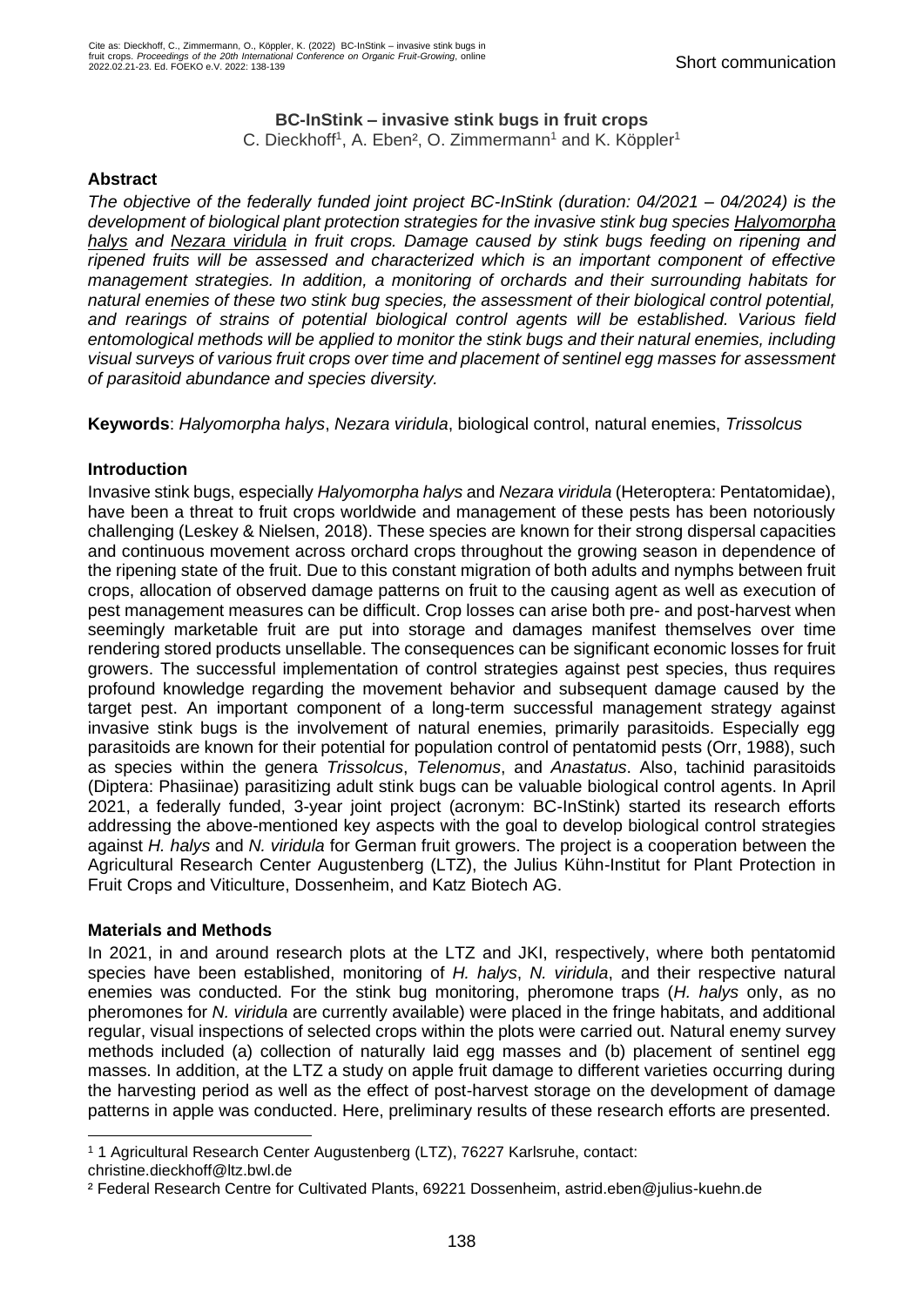### **BC-InStink – invasive stink bugs in fruit crops**

C. Dieckhoff<sup>1</sup>, A. Eben<sup>2</sup>, O. Zimmermann<sup>1</sup> and K. Köppler<sup>1</sup>

# **Abstract**

*The objective of the federally funded joint project BC-InStink (duration: 04/2021 – 04/2024) is the development of biological plant protection strategies for the invasive stink bug species Halyomorpha halys and Nezara viridula in fruit crops. Damage caused by stink bugs feeding on ripening and ripened fruits will be assessed and characterized which is an important component of effective management strategies. In addition, a monitoring of orchards and their surrounding habitats for natural enemies of these two stink bug species, the assessment of their biological control potential, and rearings of strains of potential biological control agents will be established. Various field entomological methods will be applied to monitor the stink bugs and their natural enemies, including visual surveys of various fruit crops over time and placement of sentinel egg masses for assessment of parasitoid abundance and species diversity.* 

**Keywords**: *Halyomorpha halys*, *Nezara viridula*, biological control, natural enemies, *Trissolcus*

# **Introduction**

Invasive stink bugs, especially *Halyomorpha halys* and *Nezara viridula* (Heteroptera: Pentatomidae), have been a threat to fruit crops worldwide and management of these pests has been notoriously challenging (Leskey & Nielsen, 2018). These species are known for their strong dispersal capacities and continuous movement across orchard crops throughout the growing season in dependence of the ripening state of the fruit. Due to this constant migration of both adults and nymphs between fruit crops, allocation of observed damage patterns on fruit to the causing agent as well as execution of pest management measures can be difficult. Crop losses can arise both pre- and post-harvest when seemingly marketable fruit are put into storage and damages manifest themselves over time rendering stored products unsellable. The consequences can be significant economic losses for fruit growers. The successful implementation of control strategies against pest species, thus requires profound knowledge regarding the movement behavior and subsequent damage caused by the target pest. An important component of a long-term successful management strategy against invasive stink bugs is the involvement of natural enemies, primarily parasitoids. Especially egg parasitoids are known for their potential for population control of pentatomid pests (Orr, 1988), such as species within the genera *Trissolcus*, *Telenomus*, and *Anastatus*. Also, tachinid parasitoids (Diptera: Phasiinae) parasitizing adult stink bugs can be valuable biological control agents. In April 2021, a federally funded, 3-year joint project (acronym: BC-InStink) started its research efforts addressing the above-mentioned key aspects with the goal to develop biological control strategies against *H. halys* and *N. viridula* for German fruit growers. The project is a cooperation between the Agricultural Research Center Augustenberg (LTZ), the Julius Kühn-Institut for Plant Protection in Fruit Crops and Viticulture, Dossenheim, and Katz Biotech AG.

### **Materials and Methods**

In 2021, in and around research plots at the LTZ and JKI, respectively, where both pentatomid species have been established, monitoring of *H. halys*, *N. viridula*, and their respective natural enemies was conducted. For the stink bug monitoring, pheromone traps (*H. halys* only, as no pheromones for *N. viridula* are currently available) were placed in the fringe habitats, and additional regular, visual inspections of selected crops within the plots were carried out. Natural enemy survey methods included (a) collection of naturally laid egg masses and (b) placement of sentinel egg masses. In addition, at the LTZ a study on apple fruit damage to different varieties occurring during the harvesting period as well as the effect of post-harvest storage on the development of damage patterns in apple was conducted. Here, preliminary results of these research efforts are presented.

<sup>1</sup> 1 Agricultural Research Center Augustenberg (LTZ), 76227 Karlsruhe, contact:

christine.dieckhoff@ltz.bwl.de

² Federal Research Centre for Cultivated Plants, 69221 Dossenheim, astrid.eben@julius-kuehn.de